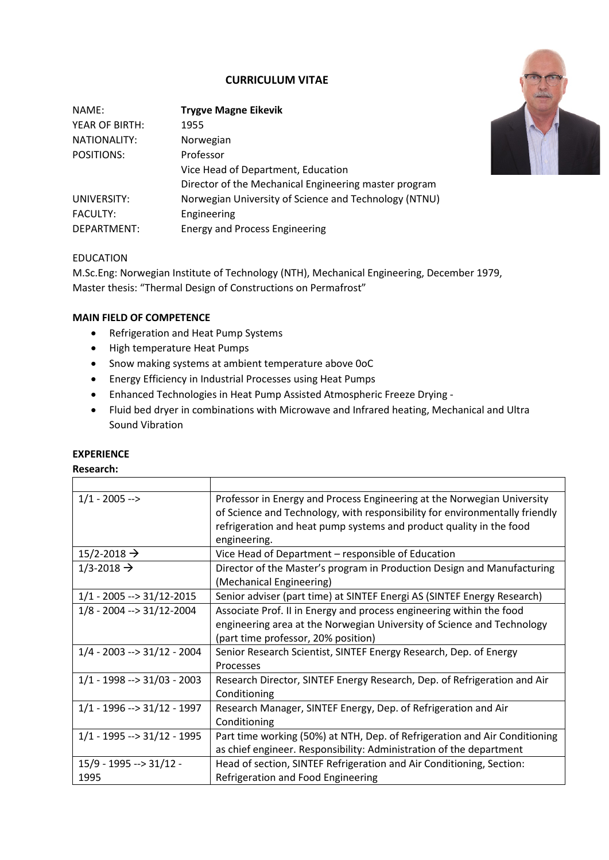# **CURRICULUM VITAE**

| NAME:           | <b>Trygve Magne Eikevik</b>                           |
|-----------------|-------------------------------------------------------|
| YEAR OF BIRTH:  | 1955                                                  |
| NATIONALITY:    | Norwegian                                             |
| POSITIONS:      | Professor                                             |
|                 | Vice Head of Department, Education                    |
|                 | Director of the Mechanical Engineering master program |
| UNIVERSITY:     | Norwegian University of Science and Technology (NTNU) |
| <b>FACULTY:</b> | Engineering                                           |
| DEPARTMENT:     | <b>Energy and Process Engineering</b>                 |



#### EDUCATION

M.Sc.Eng: Norwegian Institute of Technology (NTH), Mechanical Engineering, December 1979, Master thesis: "Thermal Design of Constructions on Permafrost"

### **MAIN FIELD OF COMPETENCE**

- Refrigeration and Heat Pump Systems
- High temperature Heat Pumps
- Snow making systems at ambient temperature above 0oC
- Energy Efficiency in Industrial Processes using Heat Pumps
- Enhanced Technologies in Heat Pump Assisted Atmospheric Freeze Drying -
- Fluid bed dryer in combinations with Microwave and Infrared heating, Mechanical and Ultra Sound Vibration

### **EXPERIENCE**

#### **Research:**

| $1/1 - 2005 -$                        | Professor in Energy and Process Engineering at the Norwegian University     |
|---------------------------------------|-----------------------------------------------------------------------------|
|                                       | of Science and Technology, with responsibility for environmentally friendly |
|                                       | refrigeration and heat pump systems and product quality in the food         |
|                                       | engineering.                                                                |
| $15/2 - 2018 \rightarrow$             | Vice Head of Department – responsible of Education                          |
| $1/3 - 2018 \rightarrow$              | Director of the Master's program in Production Design and Manufacturing     |
|                                       | (Mechanical Engineering)                                                    |
| $1/1 - 2005 \rightarrow 31/12 - 2015$ | Senior adviser (part time) at SINTEF Energi AS (SINTEF Energy Research)     |
| $1/8 - 2004 \rightarrow 31/12 - 2004$ | Associate Prof. II in Energy and process engineering within the food        |
|                                       | engineering area at the Norwegian University of Science and Technology      |
|                                       | (part time professor, 20% position)                                         |
| $1/4 - 2003 \rightarrow 31/12 - 2004$ | Senior Research Scientist, SINTEF Energy Research, Dep. of Energy           |
|                                       | Processes                                                                   |
| $1/1 - 1998 \rightarrow 31/03 - 2003$ | Research Director, SINTEF Energy Research, Dep. of Refrigeration and Air    |
|                                       | Conditioning                                                                |
| $1/1 - 1996 \rightarrow 31/12 - 1997$ | Research Manager, SINTEF Energy, Dep. of Refrigeration and Air              |
|                                       | Conditioning                                                                |
| $1/1 - 1995 \rightarrow 31/12 - 1995$ | Part time working (50%) at NTH, Dep. of Refrigeration and Air Conditioning  |
|                                       | as chief engineer. Responsibility: Administration of the department         |
| $15/9 - 1995 \rightarrow 31/12 -$     | Head of section, SINTEF Refrigeration and Air Conditioning, Section:        |
| 1995                                  | Refrigeration and Food Engineering                                          |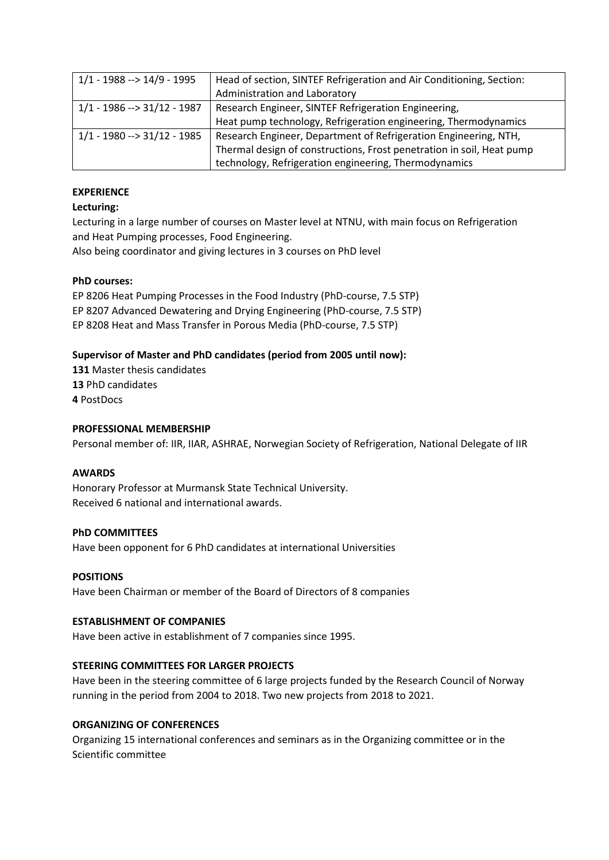| $1/1 - 1988 \rightarrow 14/9 - 1995$  | Head of section, SINTEF Refrigeration and Air Conditioning, Section:  |
|---------------------------------------|-----------------------------------------------------------------------|
|                                       | Administration and Laboratory                                         |
| $1/1 - 1986 \rightarrow 31/12 - 1987$ | Research Engineer, SINTEF Refrigeration Engineering,                  |
|                                       | Heat pump technology, Refrigeration engineering, Thermodynamics       |
| $1/1 - 1980 \rightarrow 31/12 - 1985$ | Research Engineer, Department of Refrigeration Engineering, NTH,      |
|                                       | Thermal design of constructions, Frost penetration in soil, Heat pump |
|                                       | technology, Refrigeration engineering, Thermodynamics                 |

# **EXPERIENCE**

# **Lecturing:**

Lecturing in a large number of courses on Master level at NTNU, with main focus on Refrigeration and Heat Pumping processes, Food Engineering. Also being coordinator and giving lectures in 3 courses on PhD level

### **PhD courses:**

EP 8206 Heat Pumping Processes in the Food Industry (PhD-course, 7.5 STP) EP 8207 Advanced Dewatering and Drying Engineering (PhD-course, 7.5 STP) EP 8208 Heat and Mass Transfer in Porous Media (PhD-course, 7.5 STP)

# **Supervisor of Master and PhD candidates (period from 2005 until now):**

**131** Master thesis candidates **13** PhD candidates **4** PostDocs

# **PROFESSIONAL MEMBERSHIP**

Personal member of: IIR, IIAR, ASHRAE, Norwegian Society of Refrigeration, National Delegate of IIR

### **AWARDS**

Honorary Professor at Murmansk State Technical University. Received 6 national and international awards.

### **PhD COMMITTEES**

Have been opponent for 6 PhD candidates at international Universities

### **POSITIONS**

Have been Chairman or member of the Board of Directors of 8 companies

### **ESTABLISHMENT OF COMPANIES**

Have been active in establishment of 7 companies since 1995.

# **STEERING COMMITTEES FOR LARGER PROJECTS**

Have been in the steering committee of 6 large projects funded by the Research Council of Norway running in the period from 2004 to 2018. Two new projects from 2018 to 2021.

## **ORGANIZING OF CONFERENCES**

Organizing 15 international conferences and seminars as in the Organizing committee or in the Scientific committee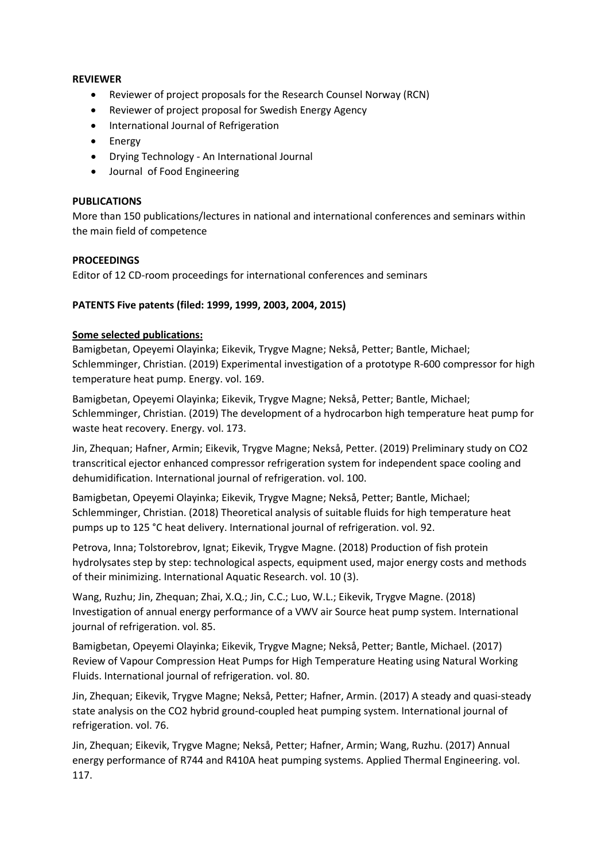# **REVIEWER**

- Reviewer of project proposals for the Research Counsel Norway (RCN)
- Reviewer of project proposal for Swedish Energy Agency
- International Journal of Refrigeration
- Energy
- Drying Technology An International Journal
- Journal of Food Engineering

#### **PUBLICATIONS**

More than 150 publications/lectures in national and international conferences and seminars within the main field of competence

### **PROCEEDINGS**

Editor of 12 CD-room proceedings for international conferences and seminars

### **PATENTS Five patents (filed: 1999, 1999, 2003, 2004, 2015)**

### **Some selected publications:**

Bamigbetan, Opeyemi Olayinka; Eikevik, Trygve Magne; Nekså, Petter; Bantle, Michael; Schlemminger, Christian. (2019) Experimental investigation of a prototype R-600 compressor for high temperature heat pump. Energy. vol. 169.

Bamigbetan, Opeyemi Olayinka; Eikevik, Trygve Magne; Nekså, Petter; Bantle, Michael; Schlemminger, Christian. (2019) The development of a hydrocarbon high temperature heat pump for waste heat recovery. Energy. vol. 173.

Jin, Zhequan; Hafner, Armin; Eikevik, Trygve Magne; Nekså, Petter. (2019) Preliminary study on CO2 transcritical ejector enhanced compressor refrigeration system for independent space cooling and dehumidification. International journal of refrigeration. vol. 100.

Bamigbetan, Opeyemi Olayinka; Eikevik, Trygve Magne; Nekså, Petter; Bantle, Michael; Schlemminger, Christian. (2018) Theoretical analysis of suitable fluids for high temperature heat pumps up to 125 °C heat delivery. International journal of refrigeration. vol. 92.

Petrova, Inna; Tolstorebrov, Ignat; Eikevik, Trygve Magne. (2018) Production of fish protein hydrolysates step by step: technological aspects, equipment used, major energy costs and methods of their minimizing. International Aquatic Research. vol. 10 (3).

Wang, Ruzhu; Jin, Zhequan; Zhai, X.Q.; Jin, C.C.; Luo, W.L.; Eikevik, Trygve Magne. (2018) Investigation of annual energy performance of a VWV air Source heat pump system. International journal of refrigeration. vol. 85.

Bamigbetan, Opeyemi Olayinka; Eikevik, Trygve Magne; Nekså, Petter; Bantle, Michael. (2017) Review of Vapour Compression Heat Pumps for High Temperature Heating using Natural Working Fluids. International journal of refrigeration. vol. 80.

Jin, Zhequan; Eikevik, Trygve Magne; Nekså, Petter; Hafner, Armin. (2017) A steady and quasi-steady state analysis on the CO2 hybrid ground-coupled heat pumping system. International journal of refrigeration. vol. 76.

Jin, Zhequan; Eikevik, Trygve Magne; Nekså, Petter; Hafner, Armin; Wang, Ruzhu. (2017) Annual energy performance of R744 and R410A heat pumping systems. Applied Thermal Engineering. vol. 117.